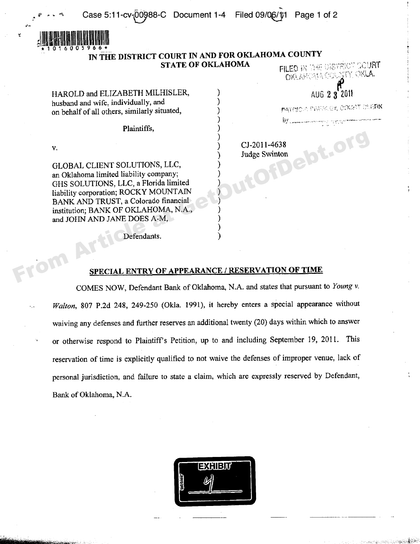PATENCIA PISTRA CA CARRIT OLEFIN



## **IN THE DISTRICT COURT IN AND FOR OKLAHOMA COUNTY**<br>**STATE OF OKLAHOMA STATE OF OKLAHOMA** FILED IN THE DISTRICT GOUR<br>TOTAL COLLECTIVE ONE AROUND THE COLLECTIVE ONLY.

)

)

)

HAROLD and ELIZABETH MILHISLER,  $\qquad$   $)$   $\qquad$   $\qquad$   $\qquad$   $\qquad$   $\qquad$   $\qquad$   $\qquad$   $\qquad$   $\qquad$   $\qquad$   $\qquad$   $\qquad$   $\qquad$   $\qquad$   $\qquad$   $\qquad$   $\qquad$   $\qquad$   $\qquad$   $\qquad$   $\qquad$   $\qquad$   $\qquad$   $\qquad$   $\qquad$   $\qquad$   $\qquad$   $\qquad$   $\qquad$   $\qquad$ husband and wife, individually, and ) on behalf of all others, similarly situated, )

Plaintiffs, )

v.<br>  $\begin{array}{c}\n\text{CJ-2011-4638} \\
\text{Judge Swinton}\n\end{array}$ <br>
GLOBAL CLIENT SOLUTIONS. LLC GLOBAL CLIENT SOLUTIONS, LLC, an Oklahoma limited liability company; GHS SOLUTIONS, LLC, a Florida limited ) liability corporation; ROCKY MOUNTAIN ) BANK AND TRUST, a Colorado financial ) institution; BANK OF OKLAHOMA, N.A., and JOHN AND JANE DOES A-M, V.<br>
(H.OBAL CLIENT SOLUTIONS, LLC,<br>
an Oklahoma limited liability company;<br>
(HIS SOLUTIONS, LLC, a Florida limited<br>
(HIS SOLUTIONS, LLC, a Florida limited<br>
(liability corporation; ROCKY MOUNTAIN<br>
BANK AND TRUST, a Colorado

) Judge Swinton

Defendants.

## **SPECIAL ENTRY OF APPEARANCE / RESERVATION OF TIME**

COMES NOW, Defendant Bank of Oklahoma, N.A. and states that pursuant to *Young* v. *Walton*, 807 P.2d 248, 249-250 (Okla. 1991), it hereby enters a special appearance without waiving any defenses and further reserves an additional twenty (20) days within which to answer or otherwise respond to Plaintiff's Petition, up to and including September 19, 2011. This reservation of time is explicitly qualified to not waive the defenses of improper venue, lack of personal jurisdiction, and failure to state a claim, which are expressly reserved by Defendant, Bank of Oklahoma, N.A.